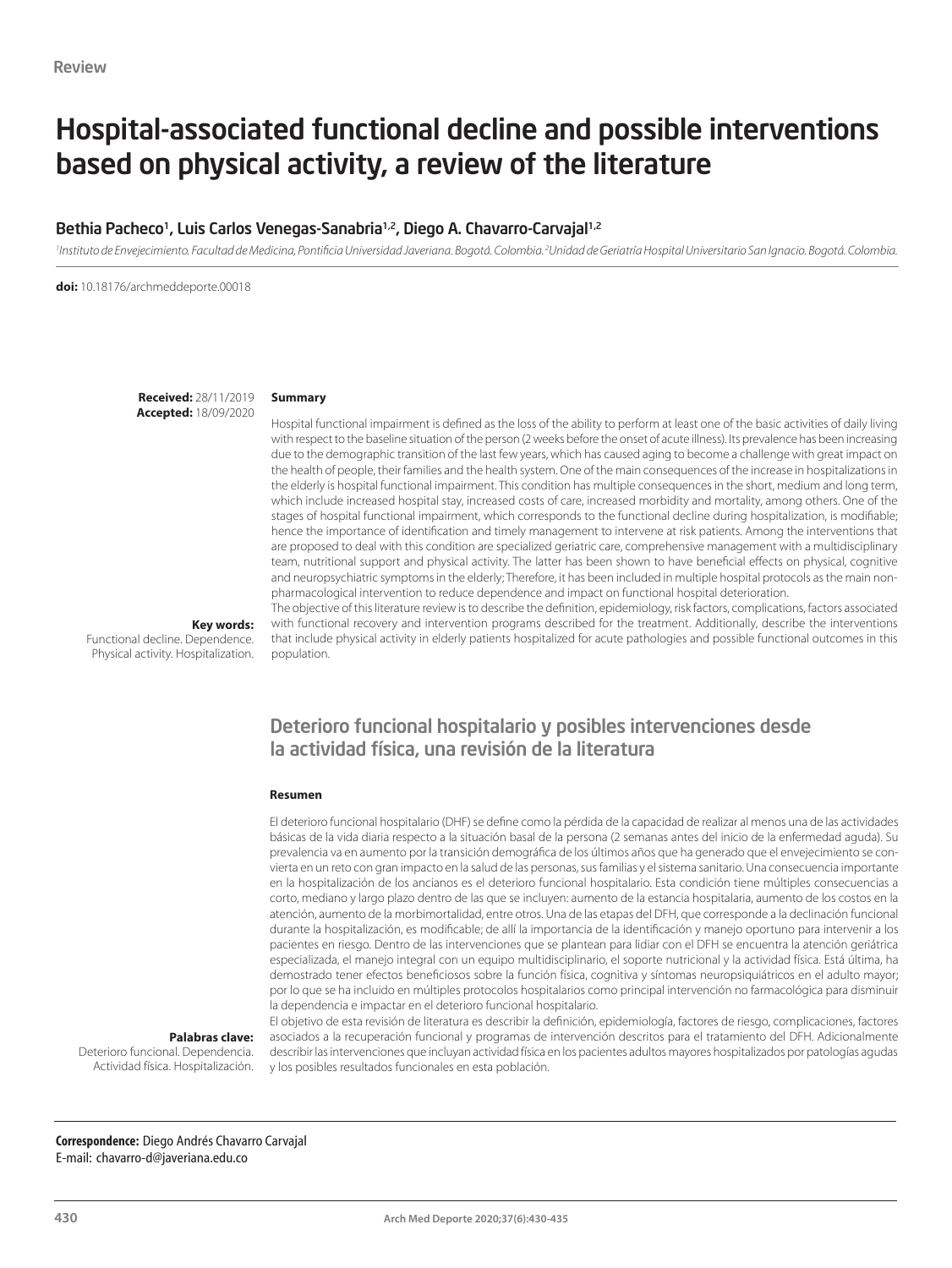# Hospital-associated functional decline and possible interventions based on physical activity, a review of the literature

#### Bethia Pacheco<sup>1</sup>, Luis Carlos Venegas-Sanabria<sup>1,2</sup>, Diego A. Chavarro-Carvajal<sup>1,2</sup>

<sup>1</sup> Instituto de Envejecimiento. Facultad de Medicina, Pontificia Universidad Javeriana. Bogotá. Colombia. <sup>2</sup> Unidad de Geriatría Hospital Universitario San Ignacio. Bogotá. Colombia.

**doi:** 10.18176/archmeddeporte.00018

**Received:** 28/11/2019 **Accepted:** 18/09/2020

#### **Summary**

Hospital functional impairment is defined as the loss of the ability to perform at least one of the basic activities of daily living with respect to the baseline situation of the person (2 weeks before the onset of acute illness). Its prevalence has been increasing due to the demographic transition of the last few years, which has caused aging to become a challenge with great impact on the health of people, their families and the health system. One of the main consequences of the increase in hospitalizations in the elderly is hospital functional impairment. This condition has multiple consequences in the short, medium and long term, which include increased hospital stay, increased costs of care, increased morbidity and mortality, among others. One of the stages of hospital functional impairment, which corresponds to the functional decline during hospitalization, is modifiable; hence the importance of identification and timely management to intervene at risk patients. Among the interventions that are proposed to deal with this condition are specialized geriatric care, comprehensive management with a multidisciplinary team, nutritional support and physical activity. The latter has been shown to have beneficial effects on physical, cognitive and neuropsychiatric symptoms in the elderly; Therefore, it has been included in multiple hospital protocols as the main nonpharmacological intervention to reduce dependence and impact on functional hospital deterioration. The objective of this literature review is to describe the definition, epidemiology, risk factors, complications, factors associated

**Key words:** 

Functional decline. Dependence. Physical activity. Hospitalization. with functional recovery and intervention programs described for the treatment. Additionally, describe the interventions that include physical activity in elderly patients hospitalized for acute pathologies and possible functional outcomes in this population.

### Deterioro funcional hospitalario y posibles intervenciones desde la actividad física, una revisión de la literatura

#### **Resumen**

El deterioro funcional hospitalario (DHF) se define como la pérdida de la capacidad de realizar al menos una de las actividades básicas de la vida diaria respecto a la situación basal de la persona (2 semanas antes del inicio de la enfermedad aguda). Su prevalencia va en aumento por la transición demográfica de los últimos años que ha generado que el envejecimiento se convierta en un reto con gran impacto en la salud de las personas, sus familias y el sistema sanitario. Una consecuencia importante en la hospitalización de los ancianos es el deterioro funcional hospitalario. Esta condición tiene múltiples consecuencias a corto, mediano y largo plazo dentro de las que se incluyen: aumento de la estancia hospitalaria, aumento de los costos en la atención, aumento de la morbimortalidad, entre otros. Una de las etapas del DFH, que corresponde a la declinación funcional durante la hospitalización, es modificable; de allí la importancia de la identificación y manejo oportuno para intervenir a los pacientes en riesgo. Dentro de las intervenciones que se plantean para lidiar con el DFH se encuentra la atención geriátrica especializada, el manejo integral con un equipo multidisciplinario, el soporte nutricional y la actividad física. Está última, ha demostrado tener efectos beneficiosos sobre la función física, cognitiva y síntomas neuropsiquiátricos en el adulto mayor; por lo que se ha incluido en múltiples protocolos hospitalarios como principal intervención no farmacológica para disminuir la dependencia e impactar en el deterioro funcional hospitalario.

**Palabras clave:** 

Deterioro funcional. Dependencia. Actividad física. Hospitalización.

El objetivo de esta revisión de literatura es describir la definición, epidemiología, factores de riesgo, complicaciones, factores asociados a la recuperación funcional y programas de intervención descritos para el tratamiento del DFH. Adicionalmente describir las intervenciones que incluyan actividad física en los pacientes adultos mayores hospitalizados por patologías agudas y los posibles resultados funcionales en esta población.

**Correspondence:** Diego Andrés Chavarro Carvajal E-mail: chavarro-d@javeriana.edu.co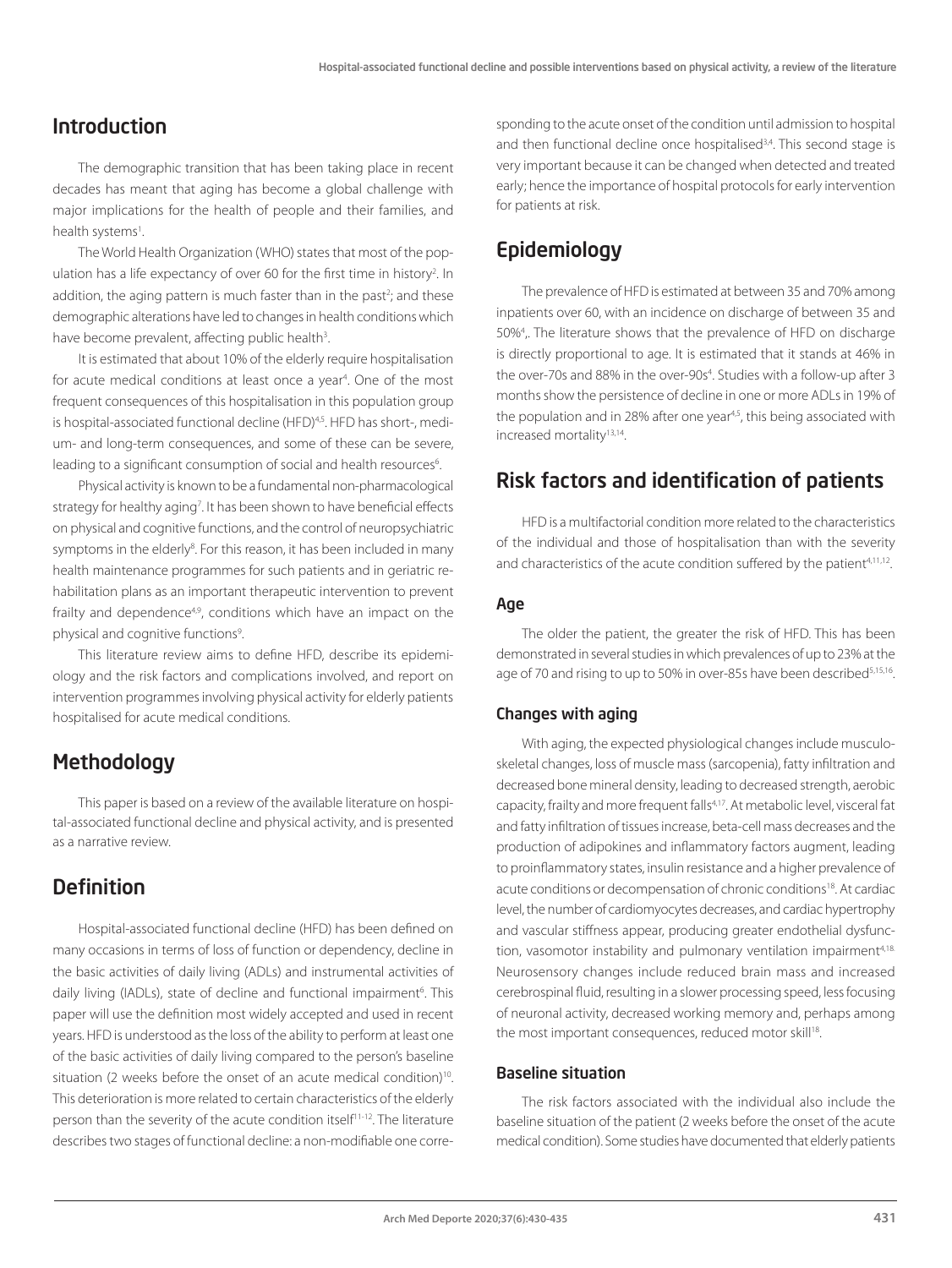### Introduction

The demographic transition that has been taking place in recent decades has meant that aging has become a global challenge with major implications for the health of people and their families, and health systems<sup>1</sup>.

The World Health Organization (WHO) states that most of the population has a life expectancy of over 60 for the first time in history<sup>2</sup>. In addition, the aging pattern is much faster than in the past<sup>2</sup>; and these demographic alterations have led to changes in health conditions which have become prevalent, affecting public health<sup>3</sup>.

It is estimated that about 10% of the elderly require hospitalisation for acute medical conditions at least once a year4 . One of the most frequent consequences of this hospitalisation in this population group is hospital-associated functional decline (HFD)<sup>4,5</sup>. HFD has short-, medium- and long-term consequences, and some of these can be severe, leading to a significant consumption of social and health resources<sup>6</sup>. .

Physical activity is known to be a fundamental non-pharmacological strategy for healthy aging<sup>7</sup>. It has been shown to have beneficial effects on physical and cognitive functions, and the control of neuropsychiatric symptoms in the elderly<sup>8</sup>. For this reason, it has been included in many health maintenance programmes for such patients and in geriatric rehabilitation plans as an important therapeutic intervention to prevent frailty and dependence<sup>4,9</sup>, conditions which have an impact on the physical and cognitive functions<sup>9</sup>. .

This literature review aims to define HFD, describe its epidemiology and the risk factors and complications involved, and report on intervention programmes involving physical activity for elderly patients hospitalised for acute medical conditions.

## **Methodology**

This paper is based on a review of the available literature on hospital-associated functional decline and physical activity, and is presented as a narrative review.

### Definition

Hospital-associated functional decline (HFD) has been defined on many occasions in terms of loss of function or dependency, decline in the basic activities of daily living (ADLs) and instrumental activities of daily living (IADLs), state of decline and functional impairment<sup>6</sup>. This paper will use the definition most widely accepted and used in recent years. HFD is understood as the loss of the ability to perform at least one of the basic activities of daily living compared to the person's baseline situation (2 weeks before the onset of an acute medical condition)<sup>10</sup>. This deterioration is more related to certain characteristics of the elderly person than the severity of the acute condition itself<sup>11-12</sup>. The literature describes two stages of functional decline: a non-modifiable one corre-

sponding to the acute onset of the condition until admission to hospital and then functional decline once hospitalised<sup>3,4</sup>. This second stage is very important because it can be changed when detected and treated early; hence the importance of hospital protocols for early intervention for patients at risk.

# Epidemiology

The prevalence of HFD is estimated at between 35 and 70% among inpatients over 60, with an incidence on discharge of between 35 and 50%4 ,. The literature shows that the prevalence of HFD on discharge is directly proportional to age. It is estimated that it stands at 46% in the over-70s and 88% in the over-90s<sup>4</sup>. Studies with a follow-up after 3 months show the persistence of decline in one or more ADLs in 19% of the population and in 28% after one year<sup>4,5</sup>, this being associated with increased mortality<sup>13,14</sup>.

### Risk factors and identification of patients

HFD is a multifactorial condition more related to the characteristics of the individual and those of hospitalisation than with the severity and characteristics of the acute condition suffered by the patient<sup>4,11,12</sup>.

#### Age

The older the patient, the greater the risk of HFD. This has been demonstrated in several studies in which prevalences of up to 23% at the age of 70 and rising to up to 50% in over-85s have been described<sup>5,15,16</sup>.

#### Changes with aging

With aging, the expected physiological changes include musculoskeletal changes, loss of muscle mass (sarcopenia), fatty infiltration and decreased bone mineral density, leading to decreased strength, aerobic capacity, frailty and more frequent falls<sup>4,17</sup>. At metabolic level, visceral fat and fatty infiltration of tissues increase, beta-cell mass decreases and the production of adipokines and inflammatory factors augment, leading to proinflammatory states, insulin resistance and a higher prevalence of acute conditions or decompensation of chronic conditions18. At cardiac level, the number of cardiomyocytes decreases, and cardiac hypertrophy and vascular stiffness appear, producing greater endothelial dysfunction, vasomotor instability and pulmonary ventilation impairment<sup>4,18.</sup> Neurosensory changes include reduced brain mass and increased cerebrospinal fluid, resulting in a slower processing speed, less focusing of neuronal activity, decreased working memory and, perhaps among the most important consequences, reduced motor skill<sup>18</sup>.

#### Baseline situation

The risk factors associated with the individual also include the baseline situation of the patient (2 weeks before the onset of the acute medical condition). Some studies have documented that elderly patients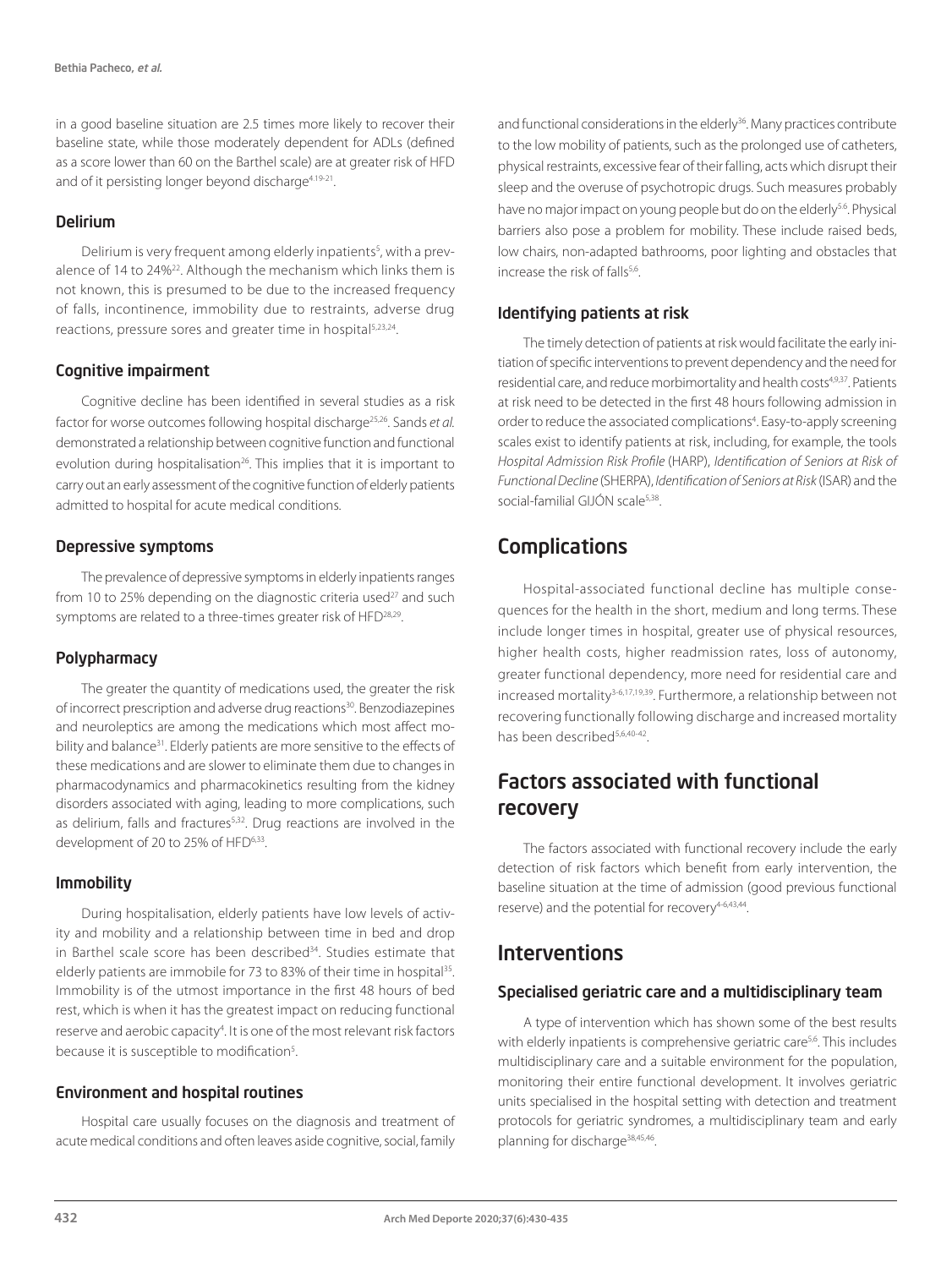in a good baseline situation are 2.5 times more likely to recover their baseline state, while those moderately dependent for ADLs (defined as a score lower than 60 on the Barthel scale) are at greater risk of HFD and of it persisting longer beyond discharge<sup>4.19-21</sup>.

#### Delirium

Delirium is very frequent among elderly inpatients<sup>5</sup>, with a prevalence of 14 to 24%<sup>22</sup>. Although the mechanism which links them is not known, this is presumed to be due to the increased frequency of falls, incontinence, immobility due to restraints, adverse drug reactions, pressure sores and greater time in hospital<sup>5,23,24</sup>.

#### Cognitive impairment

Cognitive decline has been identified in several studies as a risk factor for worse outcomes following hospital discharge25,26. Sands *et al.*  demonstrated a relationship between cognitive function and functional evolution during hospitalisation<sup>26</sup>. This implies that it is important to carry out an early assessment of the cognitive function of elderly patients admitted to hospital for acute medical conditions.

#### Depressive symptoms

The prevalence of depressive symptoms in elderly inpatients ranges from 10 to 25% depending on the diagnostic criteria used $27$  and such symptoms are related to a three-times greater risk of HFD<sup>28,29</sup>.

#### Polypharmacy

The greater the quantity of medications used, the greater the risk of incorrect prescription and adverse drug reactions<sup>30</sup>. Benzodiazepines and neuroleptics are among the medications which most affect mobility and balance<sup>31</sup>. Elderly patients are more sensitive to the effects of these medications and are slower to eliminate them due to changes in pharmacodynamics and pharmacokinetics resulting from the kidney disorders associated with aging, leading to more complications, such as delirium, falls and fractures<sup>5,32</sup>. Drug reactions are involved in the development of 20 to 25% of HFD<sup>6,33</sup>.

#### Immobility

During hospitalisation, elderly patients have low levels of activity and mobility and a relationship between time in bed and drop in Barthel scale score has been described<sup>34</sup>. Studies estimate that elderly patients are immobile for 73 to 83% of their time in hospital<sup>35</sup>. Immobility is of the utmost importance in the first 48 hours of bed rest, which is when it has the greatest impact on reducing functional reserve and aerobic capacity<sup>4</sup>. It is one of the most relevant risk factors because it is susceptible to modification<sup>5</sup>. .

#### Environment and hospital routines

Hospital care usually focuses on the diagnosis and treatment of acute medical conditions and often leaves aside cognitive, social, family and functional considerations in the elderly<sup>36</sup>. Many practices contribute to the low mobility of patients, such as the prolonged use of catheters, physical restraints, excessive fear of their falling, acts which disrupt their sleep and the overuse of psychotropic drugs. Such measures probably have no major impact on young people but do on the elderly<sup>5.6</sup>. Physical barriers also pose a problem for mobility. These include raised beds, low chairs, non-adapted bathrooms, poor lighting and obstacles that increase the risk of falls<sup>5,6</sup>.

### Identifying patients at risk

The timely detection of patients at risk would facilitate the early initiation of specific interventions to prevent dependency and the need for residential care, and reduce morbimortality and health costs<sup>4,9,37</sup>. Patients at risk need to be detected in the first 48 hours following admission in order to reduce the associated complications<sup>4</sup>. Easy-to-apply screening scales exist to identify patients at risk, including, for example, the tools *Hospital Admission Risk Profile* (HARP), *Identification of Seniors at Risk of Functional Decline* (SHERPA), *Identification of Seniors at Risk* (ISAR) and the social-familial GIJÓN scale5,38.

### Complications

Hospital-associated functional decline has multiple consequences for the health in the short, medium and long terms. These include longer times in hospital, greater use of physical resources, higher health costs, higher readmission rates, loss of autonomy, greater functional dependency, more need for residential care and increased mortality<sup>3-6,17,19,39</sup>. Furthermore, a relationship between not recovering functionally following discharge and increased mortality has been described<sup>5,6,40-42</sup>.

# Factors associated with functional recovery

The factors associated with functional recovery include the early detection of risk factors which benefit from early intervention, the baseline situation at the time of admission (good previous functional reserve) and the potential for recovery<sup>4-6,43,44</sup>.

### Interventions

### Specialised geriatric care and a multidisciplinary team

A type of intervention which has shown some of the best results with elderly inpatients is comprehensive geriatric care<sup>5,6</sup>. This includes multidisciplinary care and a suitable environment for the population, monitoring their entire functional development. It involves geriatric units specialised in the hospital setting with detection and treatment protocols for geriatric syndromes, a multidisciplinary team and early planning for discharge<sup>38,45,46</sup>.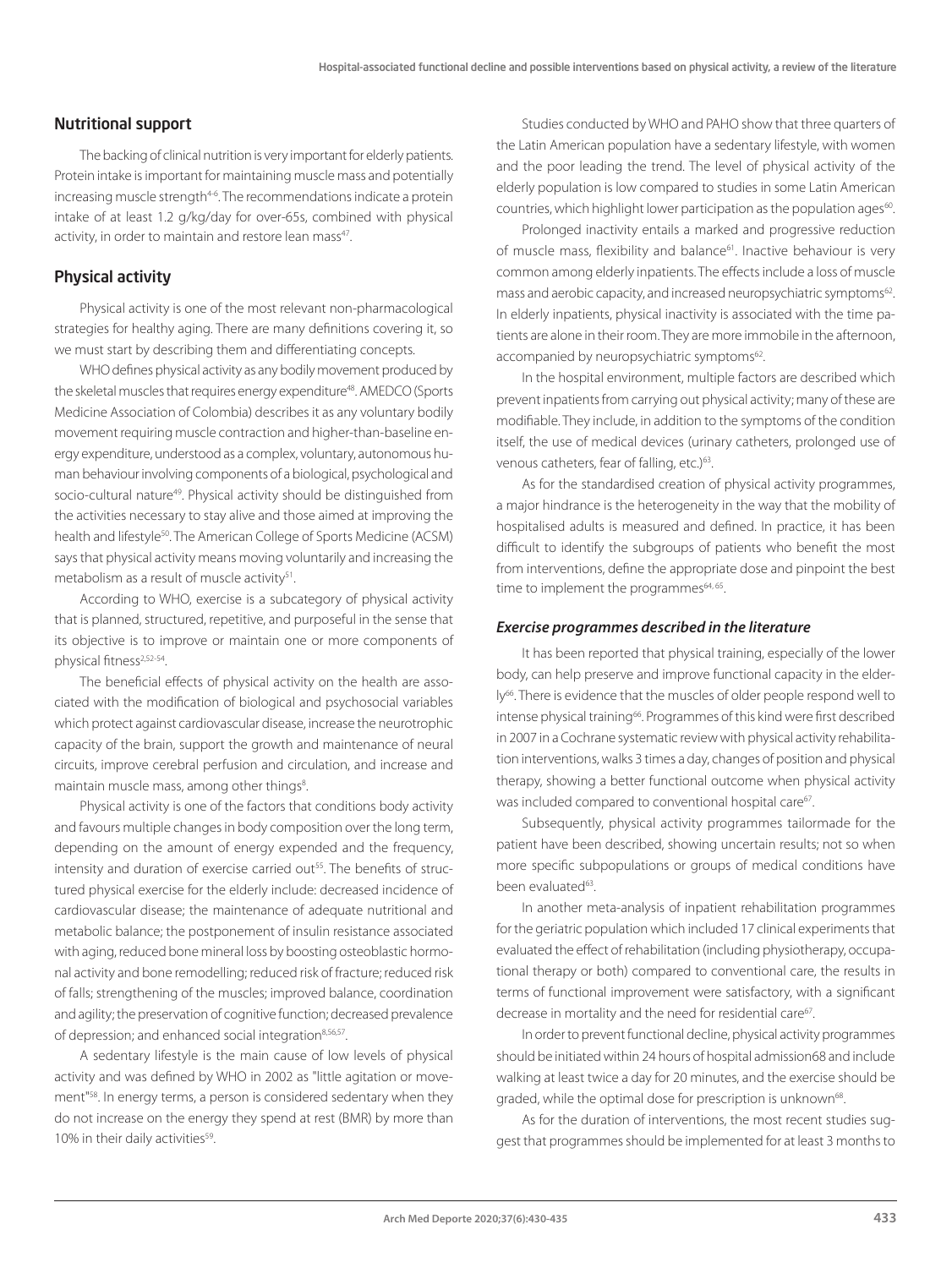#### Nutritional support

The backing of clinical nutrition is very important for elderly patients. Protein intake is important for maintaining muscle mass and potentially increasing muscle strength<sup>4-6</sup>. The recommendations indicate a protein intake of at least 1.2 g/kg/day for over-65s, combined with physical activity, in order to maintain and restore lean mass<sup>47</sup>.

#### Physical activity

Physical activity is one of the most relevant non-pharmacological strategies for healthy aging. There are many definitions covering it, so we must start by describing them and differentiating concepts.

WHO defines physical activity as any bodily movement produced by the skeletal muscles that requires energy expenditure<sup>48</sup>. AMEDCO (Sports Medicine Association of Colombia) describes it as any voluntary bodily movement requiring muscle contraction and higher-than-baseline energy expenditure, understood as a complex, voluntary, autonomous human behaviour involving components of a biological, psychological and socio-cultural nature<sup>49</sup>. Physical activity should be distinguished from the activities necessary to stay alive and those aimed at improving the health and lifestyle<sup>50</sup>. The American College of Sports Medicine (ACSM) says that physical activity means moving voluntarily and increasing the metabolism as a result of muscle activity<sup>51</sup>.

According to WHO, exercise is a subcategory of physical activity that is planned, structured, repetitive, and purposeful in the sense that its objective is to improve or maintain one or more components of physical fitness2,52-54.

The beneficial effects of physical activity on the health are associated with the modification of biological and psychosocial variables which protect against cardiovascular disease, increase the neurotrophic capacity of the brain, support the growth and maintenance of neural circuits, improve cerebral perfusion and circulation, and increase and maintain muscle mass, among other things<sup>8</sup>.

Physical activity is one of the factors that conditions body activity and favours multiple changes in body composition over the long term, depending on the amount of energy expended and the frequency, intensity and duration of exercise carried out<sup>55</sup>. The benefits of structured physical exercise for the elderly include: decreased incidence of cardiovascular disease; the maintenance of adequate nutritional and metabolic balance; the postponement of insulin resistance associated with aging, reduced bone mineral loss by boosting osteoblastic hormonal activity and bone remodelling; reduced risk of fracture; reduced risk of falls; strengthening of the muscles; improved balance, coordination and agility; the preservation of cognitive function; decreased prevalence of depression; and enhanced social integration<sup>8,56,57</sup>.

A sedentary lifestyle is the main cause of low levels of physical activity and was defined by WHO in 2002 as "little agitation or movement"58. In energy terms, a person is considered sedentary when they do not increase on the energy they spend at rest (BMR) by more than 10% in their daily activities<sup>59</sup>.

Studies conducted by WHO and PAHO show that three quarters of the Latin American population have a sedentary lifestyle, with women and the poor leading the trend. The level of physical activity of the elderly population is low compared to studies in some Latin American countries, which highlight lower participation as the population ages<sup>60</sup>.

Prolonged inactivity entails a marked and progressive reduction of muscle mass, flexibility and balance<sup>61</sup>. Inactive behaviour is very common among elderly inpatients. The effects include a loss of muscle mass and aerobic capacity, and increased neuropsychiatric symptoms<sup>62</sup>. In elderly inpatients, physical inactivity is associated with the time patients are alone in their room. They are more immobile in the afternoon, accompanied by neuropsychiatric symptoms<sup>62</sup>.

In the hospital environment, multiple factors are described which prevent inpatients from carrying out physical activity; many of these are modifiable. They include, in addition to the symptoms of the condition itself, the use of medical devices (urinary catheters, prolonged use of venous catheters, fear of falling, etc.)<sup>63</sup>.

As for the standardised creation of physical activity programmes, a major hindrance is the heterogeneity in the way that the mobility of hospitalised adults is measured and defined. In practice, it has been difficult to identify the subgroups of patients who benefit the most from interventions, define the appropriate dose and pinpoint the best time to implement the programmes<sup>64, 65</sup>.

#### *Exercise programmes described in the literature*

It has been reported that physical training, especially of the lower body, can help preserve and improve functional capacity in the elderly<sup>66</sup>. There is evidence that the muscles of older people respond well to intense physical training<sup>66</sup>. Programmes of this kind were first described in 2007 in a Cochrane systematic review with physical activity rehabilitation interventions, walks 3 times a day, changes of position and physical therapy, showing a better functional outcome when physical activity was included compared to conventional hospital care<sup>67</sup>.

Subsequently, physical activity programmes tailormade for the patient have been described, showing uncertain results; not so when more specific subpopulations or groups of medical conditions have been evaluated63.

In another meta-analysis of inpatient rehabilitation programmes for the geriatric population which included 17 clinical experiments that evaluated the effect of rehabilitation (including physiotherapy, occupational therapy or both) compared to conventional care, the results in terms of functional improvement were satisfactory, with a significant decrease in mortality and the need for residential care<sup>67</sup>.

In order to prevent functional decline, physical activity programmes should be initiated within 24 hours of hospital admission68 and include walking at least twice a day for 20 minutes, and the exercise should be graded, while the optimal dose for prescription is unknown<sup>68</sup>.

As for the duration of interventions, the most recent studies suggest that programmes should be implemented for at least 3 months to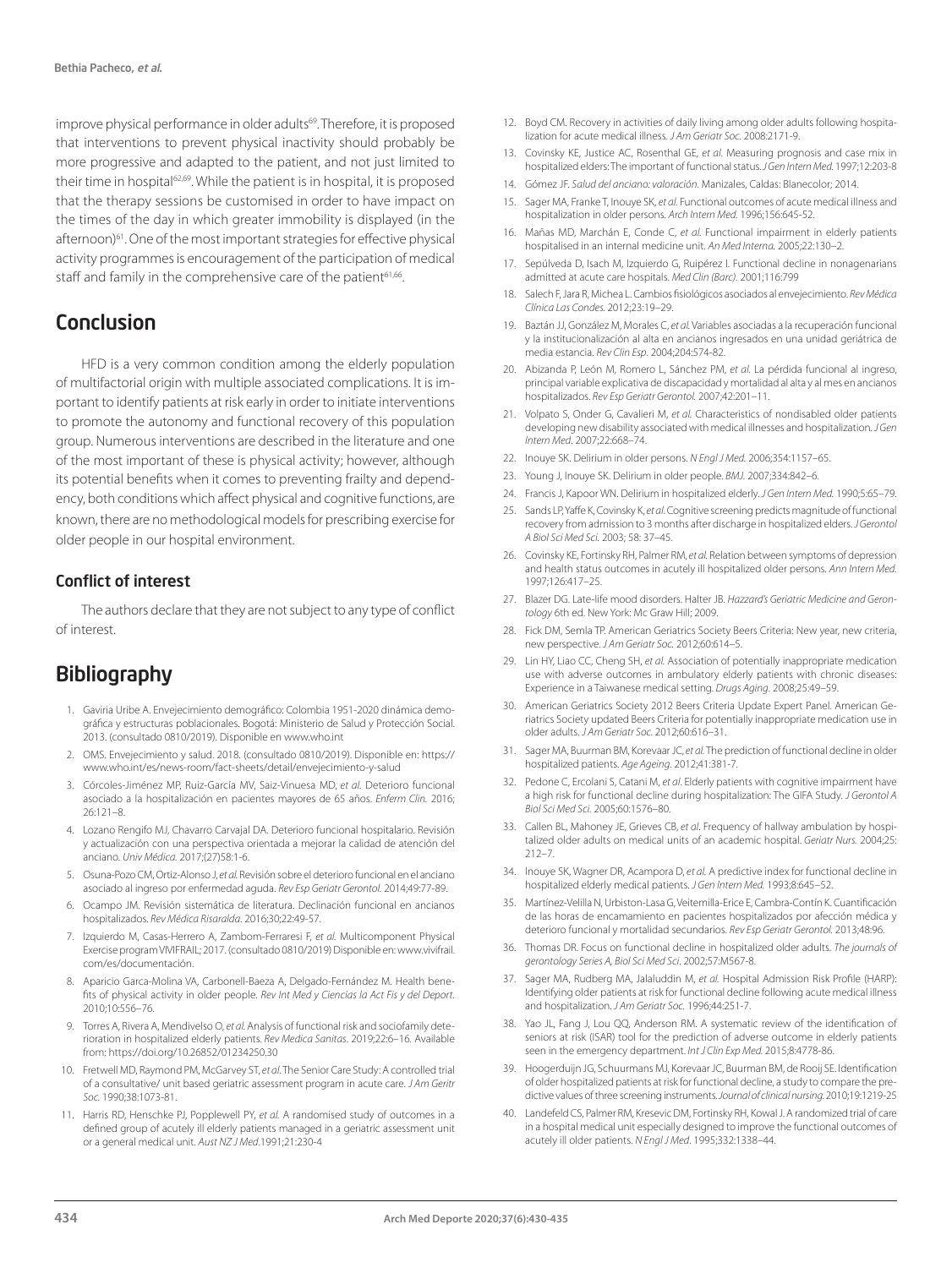improve physical performance in older adults<sup>69</sup>. Therefore, it is proposed that interventions to prevent physical inactivity should probably be more progressive and adapted to the patient, and not just limited to their time in hospital<sup>62,69</sup>. While the patient is in hospital, it is proposed that the therapy sessions be customised in order to have impact on the times of the day in which greater immobility is displayed (in the afternoon)61. One of the most important strategies for effective physical activity programmes is encouragement of the participation of medical staff and family in the comprehensive care of the patient<sup>61,66</sup>.

### Conclusion

HFD is a very common condition among the elderly population of multifactorial origin with multiple associated complications. It is important to identify patients at risk early in order to initiate interventions to promote the autonomy and functional recovery of this population group. Numerous interventions are described in the literature and one of the most important of these is physical activity; however, although its potential benefits when it comes to preventing frailty and dependency, both conditions which affect physical and cognitive functions, are known, there are no methodological models for prescribing exercise for older people in our hospital environment.

#### Conflict of interest

The authors declare that they are not subject to any type of conflict of interest.

### **Bibliography**

- 1. Gaviria Uribe A. Envejecimiento demográfico: Colombia 1951-2020 dinámica demográfica y estructuras poblacionales. Bogotá: Ministerio de Salud y Protección Social. 2013. (consultado 0810/2019). Disponible en www.who.int
- 2. OMS. Envejecimiento y salud. 2018. (consultado 0810/2019). Disponible en: https:// www.who.int/es/news-room/fact-sheets/detail/envejecimiento-y-salud
- 3. Córcoles-Jiménez MP, Ruiz-García MV, Saiz-Vinuesa MD, *et al.* Deterioro funcional asociado a la hospitalización en pacientes mayores de 65 años. *Enferm Clin.* 2016; 26:121–8.
- 4. Lozano Rengifo MJ, Chavarro Carvajal DA. Deterioro funcional hospitalario. Revisión y actualización con una perspectiva orientada a mejorar la calidad de atención del anciano. *Univ Médica.* 2017;(27)58:1-6.
- 5. Osuna-Pozo CM, Ortiz-Alonso J, *et al.* Revisión sobre el deterioro funcional en el anciano asociado al ingreso por enfermedad aguda. *Rev Esp Geriatr Gerontol.* 2014;49:77-89.
- 6. Ocampo JM. Revisión sistemática de literatura. Declinación funcional en ancianos hospitalizados. *Rev Médica Risaralda*. 2016;30;22:49-57.
- 7. Izquierdo M, Casas-Herrero A, Zambom-Ferraresi F, *et al.* Multicomponent Physical Exercise program VIVIFRAIL; 2017. (consultado 0810/2019) Disponible en: www.vivifrail. com/es/documentación.
- 8. Aparicio Garca-Molina VA, Carbonell-Baeza A, Delgado-Fernández M. Health benefits of physical activity in older people. *Rev Int Med y Ciencias la Act Fis y del Deport.* 2010;10:556–76.
- 9. Torres A, Rivera A, Mendivelso O, *et al.* Analysis of functional risk and sociofamily deterioration in hospitalized elderly patients. *Rev Medica Sanitas*. 2019;22:6–16. Available from: https://doi.org/10.26852/01234250.30
- 10. Fretwell MD, Raymond PM, McGarvey ST, *et al*. The Senior Care Study: A controlled trial of a consultative/ unit based geriatric assessment program in acute care. *J Am Geritr Soc.* 1990;38:1073-81.
- 11. Harris RD, Henschke PJ, Popplewell PY, *et al.* A randomised study of outcomes in a defined group of acutely ill elderly patients managed in a geriatric assessment unit or a general medical unit. *Aust NZ J Med*.1991;21:230-4
- 12. Boyd CM. Recovery in activities of daily living among older adults following hospitalization for acute medical illness. *J Am Geriatr Soc*. 2008:2171-9.
- 13. Covinsky KE, Justice AC, Rosenthal GE, *et al*. Measuring prognosis and case mix in hospitalized elders: The important of functional status. *J Gen Intern Med.* 1997;12:203-8
- 14. Gómez JF. *Salud del anciano: valoración*. Manizales, Caldas: Blanecolor; 2014.
- 15. Sager MA, Franke T, Inouye SK, *et al.* Functional outcomes of acute medical illness and hospitalization in older persons. *Arch Intern Med.* 1996;156:645-52.
- 16. Mañas MD, Marchán E, Conde C, *et al.* Functional impairment in elderly patients hospitalised in an internal medicine unit. *An Med Interna.* 2005;22:130–2.
- 17. Sepúlveda D, Isach M, Izquierdo G, Ruipérez I. Functional decline in nonagenarians admitted at acute care hospitals. *Med Clin (Barc).* 2001;116:799
- 18. Salech F, Jara R, Michea L. Cambios fisiológicos asociados al envejecimiento. *Rev Médica Clínica Las Condes.* 2012;23:19–29.
- 19. Baztán JJ, González M, Morales C, *et al.* Variables asociadas a la recuperación funcional y la institucionalización al alta en ancianos ingresados en una unidad geriátrica de media estancia. *Rev Clin Esp*. 2004;204:574-82.
- 20. Abizanda P, León M, Romero L, Sánchez PM, *et al.* La pérdida funcional al ingreso, principal variable explicativa de discapacidad y mortalidad al alta y al mes en ancianos hospitalizados. *Rev Esp Geriatr Gerontol.* 2007;42:201–11.
- 21. Volpato S, Onder G, Cavalieri M, *et al.* Characteristics of nondisabled older patients developing new disability associated with medical illnesses and hospitalization. *J Gen Intern Med*. 2007;22:668–74.
- 22. Inouye SK. Delirium in older persons. *N Engl J Med.* 2006;354:1157–65.
- 23. Young J, Inouye SK. Delirium in older people. *BMJ.* 2007;334:842–6.
- 24. Francis J, Kapoor WN. Delirium in hospitalized elderly. *J Gen Intern Med.* 1990;5:65–79.
- 25. Sands LP, Yaffe K, Covinsky K, *et al*. Cognitive screening predicts magnitude of functional recovery from admission to 3 months after discharge in hospitalized elders. *J Gerontol A Biol Sci Med Sci.* 2003; 58: 37–45.
- 26. Covinsky KE, Fortinsky RH, Palmer RM, *et al.* Relation between symptoms of depression and health status outcomes in acutely ill hospitalized older persons. *Ann Intern Med.*  1997;126:417–25.
- 27. Blazer DG. Late-life mood disorders. Halter JB. *Hazzard's Geriatric Medicine and Gerontology* 6th ed. New York: Mc Graw Hill; 2009.
- 28. Fick DM, Semla TP. American Geriatrics Society Beers Criteria: New year, new criteria, new perspective. *J Am Geriatr Soc.* 2012;60:614–5.
- 29. Lin HY, Liao CC, Cheng SH, *et al.* Association of potentially inappropriate medication use with adverse outcomes in ambulatory elderly patients with chronic diseases: Experience in a Taiwanese medical setting. *Drugs Aging*. 2008;25:49–59.
- 30. American Geriatrics Society 2012 Beers Criteria Update Expert Panel. American Geriatrics Society updated Beers Criteria for potentially inappropriate medication use in older adults. *J Am Geriatr Soc.* 2012;60:616–31.
- 31. Sager MA, Buurman BM, Korevaar JC, *et al.* The prediction of functional decline in older hospitalized patients. *Age Ageing*. 2012;41:381-7.
- 32. Pedone C, Ercolani S, Catani M, *et al*. Elderly patients with cognitive impairment have a high risk for functional decline during hospitalization: The GIFA Study. *J Gerontol A Biol Sci Med Sci.* 2005;60:1576–80.
- 33. Callen BL, Mahoney JE, Grieves CB, *et al*. Frequency of hallway ambulation by hospitalized older adults on medical units of an academic hospital. *Geriatr Nurs.* 2004;25: 212–7.
- 34. Inouye SK, Wagner DR, Acampora D, *et al.* A predictive index for functional decline in hospitalized elderly medical patients. *J Gen Intern Med.* 1993;8:645–52.
- 35. Martínez-Velilla N, Urbiston-Lasa G, Veitemilla-Erice E, Cambra-Contín K. Cuantificación de las horas de encamamiento en pacientes hospitalizados por afección médica y deterioro funcional y mortalidad secundarios. *Rev Esp Geriatr Gerontol.* 2013;48:96.
- 36. Thomas DR. Focus on functional decline in hospitalized older adults. *The journals of gerontology Series A, Biol Sci Med Sci*. 2002;57:M567-8.
- 37. Sager MA, Rudberg MA, Jalaluddin M, *et al.* Hospital Admission Risk Profile (HARP): Identifying older patients at risk for functional decline following acute medical illness and hospitalization. *J Am Geriatr Soc.* 1996;44:251-7.
- 38. Yao JL, Fang J, Lou QQ, Anderson RM. A systematic review of the identification of seniors at risk (ISAR) tool for the prediction of adverse outcome in elderly patients seen in the emergency department. *Int J Clin Exp Med.* 2015;8:4778-86.
- 39. Hoogerduijn JG, Schuurmans MJ, Korevaar JC, Buurman BM, de Rooij SE. Identification of older hospitalized patients at risk for functional decline, a study to compare the predictive values of three screening instruments. *Journal of clinical nursing.* 2010;19:1219-25
- 40. Landefeld CS, Palmer RM, Kresevic DM, Fortinsky RH, Kowal J. A randomized trial of care in a hospital medical unit especially designed to improve the functional outcomes of acutely ill older patients. *N Engl J Med*. 1995;332:1338–44.